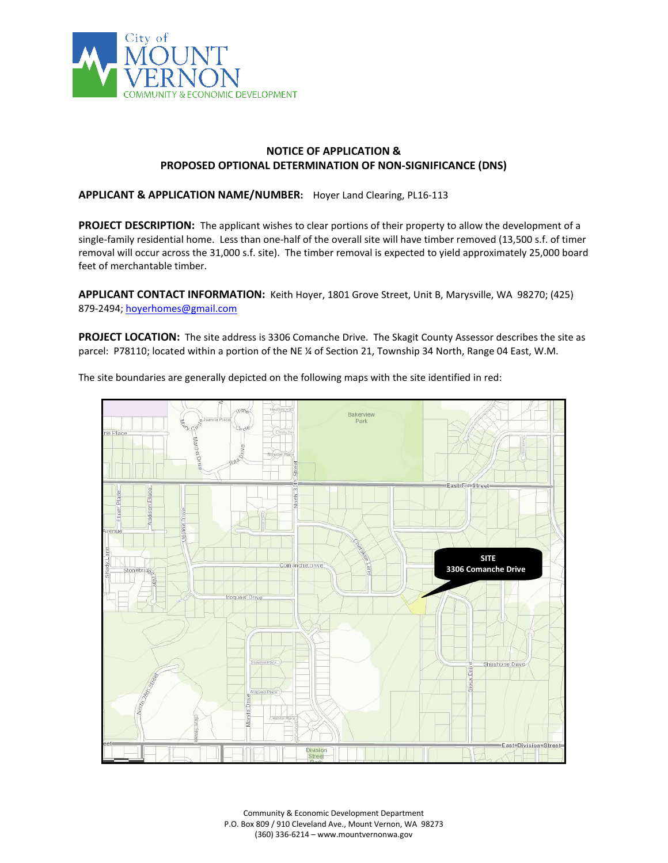

## **NOTICE OF APPLICATION & PROPOSED OPTIONAL DETERMINATION OF NON-SIGNIFICANCE (DNS)**

**APPLICANT & APPLICATION NAME/NUMBER:** Hoyer Land Clearing, PL16-113

**PROJECT DESCRIPTION:** The applicant wishes to clear portions of their property to allow the development of a single-family residential home. Less than one-half of the overall site will have timber removed (13,500 s.f. of timer removal will occur across the 31,000 s.f. site). The timber removal is expected to yield approximately 25,000 board feet of merchantable timber.

**APPLICANT CONTACT INFORMATION:** Keith Hoyer, 1801 Grove Street, Unit B, Marysville, WA 98270; (425) 879-2494[; hoyerhomes@gmail.com](mailto:hoyerhomes@gmail.com)

PROJECT LOCATION: The site address is 3306 Comanche Drive. The Skagit County Assessor describes the site as parcel: P78110; located within a portion of the NE ¼ of Section 21, Township 34 North, Range 04 East, W.M.



The site boundaries are generally depicted on the following maps with the site identified in red:

Community & Economic Development Department P.O. Box 809 / 910 Cleveland Ave., Mount Vernon, WA 98273 (360) 336-6214 – www.mountvernonwa.gov